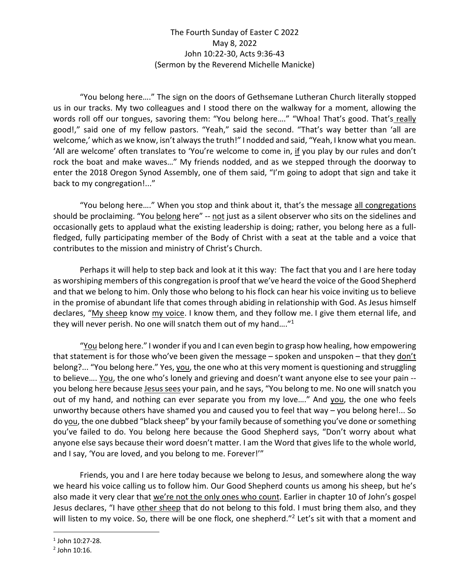## The Fourth Sunday of Easter C 2022 May 8, 2022 John 10:22-30, Acts 9:36-43 (Sermon by the Reverend Michelle Manicke)

"You belong here…." The sign on the doors of Gethsemane Lutheran Church literally stopped us in our tracks. My two colleagues and I stood there on the walkway for a moment, allowing the words roll off our tongues, savoring them: "You belong here…." "Whoa! That's good. That's really good!," said one of my fellow pastors. "Yeah," said the second. "That's way better than 'all are welcome,' which as we know, isn't always the truth!" I nodded and said, "Yeah, I know what you mean. 'All are welcome' often translates to 'You're welcome to come in, if you play by our rules and don't rock the boat and make waves…" My friends nodded, and as we stepped through the doorway to enter the 2018 Oregon Synod Assembly, one of them said, "I'm going to adopt that sign and take it back to my congregation!..."

"You belong here…." When you stop and think about it, that's the message all congregations should be proclaiming. "You belong here" -- not just as a silent observer who sits on the sidelines and occasionally gets to applaud what the existing leadership is doing; rather, you belong here as a fullfledged, fully participating member of the Body of Christ with a seat at the table and a voice that contributes to the mission and ministry of Christ's Church.

Perhaps it will help to step back and look at it this way: The fact that you and I are here today as worshiping members of this congregation is proof that we've heard the voice of the Good Shepherd and that we belong to him. Only those who belong to his flock can hear his voice inviting us to believe in the promise of abundant life that comes through abiding in relationship with God. As Jesus himself declares, "My sheep know my voice. I know them, and they follow me. I give them eternal life, and they will never perish. No one will snatch them out of my hand....<sup>"1</sup>

"You belong here." I wonder if you and I can even begin to grasp how healing, how empowering that statement is for those who've been given the message  $-$  spoken and unspoken  $-$  that they don't belong?... "You belong here." Yes, you, the one who at this very moment is questioning and struggling to believe…. You, the one who's lonely and grieving and doesn't want anyone else to see your pain - you belong here because Jesus sees your pain, and he says, "You belong to me. No one will snatch you out of my hand, and nothing can ever separate you from my love...." And you, the one who feels unworthy because others have shamed you and caused you to feel that way – you belong here!... So do you, the one dubbed "black sheep" by your family because of something you've done or something you've failed to do. You belong here because the Good Shepherd says, "Don't worry about what anyone else says because their word doesn't matter. I am the Word that gives life to the whole world, and I say, 'You are loved, and you belong to me. Forever!'"

Friends, you and I are here today because we belong to Jesus, and somewhere along the way we heard his voice calling us to follow him. Our Good Shepherd counts us among his sheep, but he's also made it very clear that we're not the only ones who count. Earlier in chapter 10 of John's gospel Jesus declares, "I have other sheep that do not belong to this fold. I must bring them also, and they will listen to my voice. So, there will be one flock, one shepherd."<sup>2</sup> Let's sit with that a moment and

<sup>1</sup> John 10:27-28.

<sup>2</sup> John 10:16.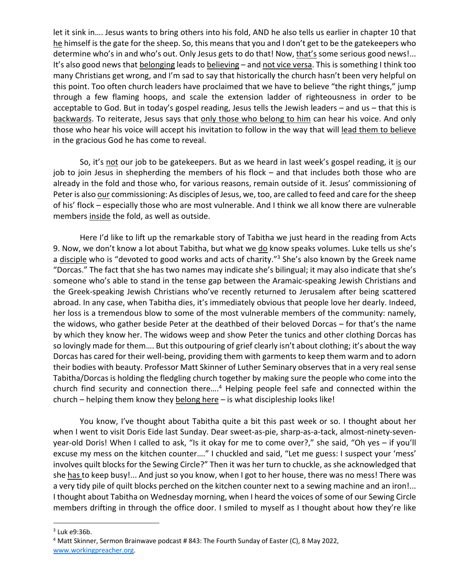let it sink in…. Jesus wants to bring others into his fold, AND he also tells us earlier in chapter 10 that he himself is the gate for the sheep. So, this means that you and I don't get to be the gatekeepers who determine who's in and who's out. Only Jesus gets to do that! Now, that's some serious good news!... It's also good news that belonging leads to believing – and not vice versa. This is something I think too many Christians get wrong, and I'm sad to say that historically the church hasn't been very helpful on this point. Too often church leaders have proclaimed that we have to believe "the right things," jump through a few flaming hoops, and scale the extension ladder of righteousness in order to be acceptable to God. But in today's gospel reading, Jesus tells the Jewish leaders – and us – that this is backwards. To reiterate, Jesus says that only those who belong to him can hear his voice. And only those who hear his voice will accept his invitation to follow in the way that will lead them to believe in the gracious God he has come to reveal.

So, it's not our job to be gatekeepers. But as we heard in last week's gospel reading, it is our job to join Jesus in shepherding the members of his flock – and that includes both those who are already in the fold and those who, for various reasons, remain outside of it. Jesus' commissioning of Peter is also our commissioning: As disciples of Jesus, we, too, are called to feed and care for the sheep of his' flock – especially those who are most vulnerable. And I think we all know there are vulnerable members inside the fold, as well as outside.

Here I'd like to lift up the remarkable story of Tabitha we just heard in the reading from Acts 9. Now, we don't know a lot about Tabitha, but what we do know speaks volumes. Luke tells us she's a disciple who is "devoted to good works and acts of charity."<sup>3</sup> She's also known by the Greek name "Dorcas." The fact that she has two names may indicate she's bilingual; it may also indicate that she's someone who's able to stand in the tense gap between the Aramaic-speaking Jewish Christians and the Greek-speaking Jewish Christians who've recently returned to Jerusalem after being scattered abroad. In any case, when Tabitha dies, it's immediately obvious that people love her dearly. Indeed, her loss is a tremendous blow to some of the most vulnerable members of the community: namely, the widows, who gather beside Peter at the deathbed of their beloved Dorcas – for that's the name by which they know her. The widows weep and show Peter the tunics and other clothing Dorcas has so lovingly made for them…. But this outpouring of grief clearly isn't about clothing; it's about the way Dorcas has cared for their well-being, providing them with garments to keep them warm and to adorn their bodies with beauty. Professor Matt Skinner of Luther Seminary observes that in a very real sense Tabitha/Dorcas is holding the fledgling church together by making sure the people who come into the church find security and connection there....<sup>4</sup> Helping people feel safe and connected within the church – helping them know they belong here – is what discipleship looks like!

You know, I've thought about Tabitha quite a bit this past week or so. I thought about her when I went to visit Doris Eide last Sunday. Dear sweet-as-pie, sharp-as-a-tack, almost-ninety-sevenyear-old Doris! When I called to ask, "Is it okay for me to come over?," she said, "Oh yes – if you'll excuse my mess on the kitchen counter…." I chuckled and said, "Let me guess: I suspect your 'mess' involves quilt blocks for the Sewing Circle?" Then it was her turn to chuckle, as she acknowledged that she has to keep busy!... And just so you know, when I got to her house, there was no mess! There was a very tidy pile of quilt blocks perched on the kitchen counter next to a sewing machine and an iron!... I thought about Tabitha on Wednesday morning, when I heard the voices of some of our Sewing Circle members drifting in through the office door. I smiled to myself as I thought about how they're like

 $3$  Luk e9:36b.

<sup>&</sup>lt;sup>4</sup> Matt Skinner, Sermon Brainwave podcast # 843: The Fourth Sunday of Easter (C), 8 May 2022, www.workingpreacher.org.